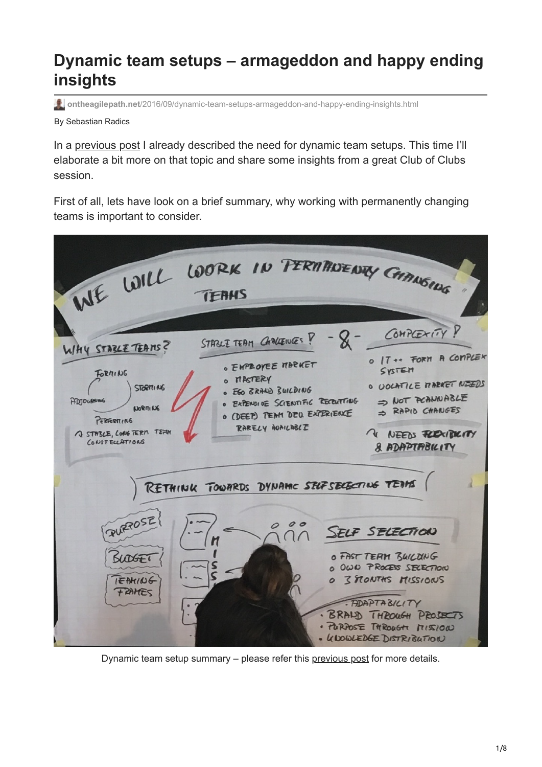# **Dynamic team setups – armageddon and happy ending insights**

**ontheagilepath.net**[/2016/09/dynamic-team-setups-armageddon-and-happy-ending-insights.html](https://www.ontheagilepath.net/2016/09/dynamic-team-setups-armageddon-and-happy-ending-insights.html)

By Sebastian Radics

In a [previous post](http://www.ontheagilepath.net/2016/05/why-we-need-more-dynamic-team-setups-to-foster-motivation-and-self-organization.html) I already described the need for dynamic team setups. This time I'll elaborate a bit more on that topic and share some insights from a great Club of Clubs session.

First of all, lets have look on a brief summary, why working with permanently changing teams is important to consider.



Dynamic team setup summary – please refer this [previous post](http://www.ontheagilepath.net/2016/05/why-we-need-more-dynamic-team-setups-to-foster-motivation-and-self-organization.html) for more details.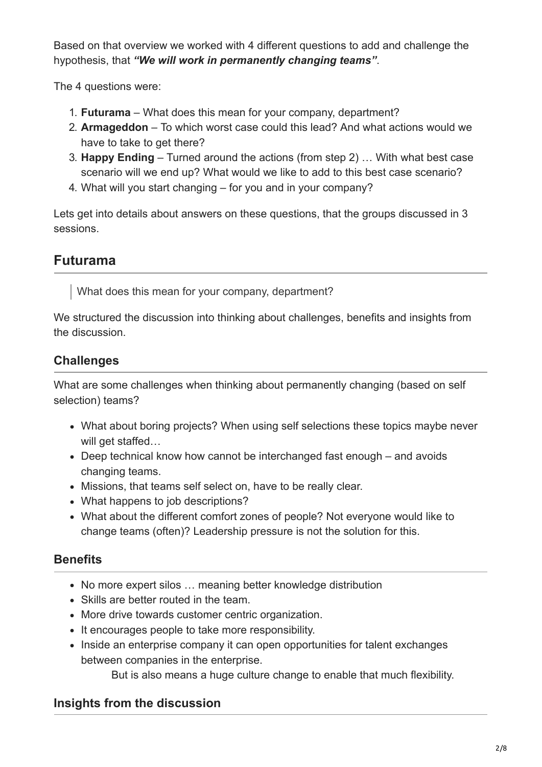Based on that overview we worked with 4 different questions to add and challenge the hypothesis, that *"We will work in permanently changing teams"*.

The 4 questions were:

- 1. **Futurama** What does this mean for your company, department?
- 2. **Armageddon** To which worst case could this lead? And what actions would we have to take to get there?
- 3. **Happy Ending** Turned around the actions (from step 2) … With what best case scenario will we end up? What would we like to add to this best case scenario?
- 4. What will you start changing for you and in your company?

Lets get into details about answers on these questions, that the groups discussed in 3 sessions.

# **Futurama**

What does this mean for your company, department?

We structured the discussion into thinking about challenges, benefits and insights from the discussion.

## **Challenges**

What are some challenges when thinking about permanently changing (based on self selection) teams?

- What about boring projects? When using self selections these topics maybe never will get staffed…
- Deep technical know how cannot be interchanged fast enough and avoids changing teams.
- Missions, that teams self select on, have to be really clear.
- What happens to job descriptions?
- What about the different comfort zones of people? Not everyone would like to change teams (often)? Leadership pressure is not the solution for this.

### **Benefits**

- No more expert silos ... meaning better knowledge distribution
- Skills are better routed in the team.
- More drive towards customer centric organization.
- It encourages people to take more responsibility.
- Inside an enterprise company it can open opportunities for talent exchanges between companies in the enterprise.

But is also means a huge culture change to enable that much flexibility.

### **Insights from the discussion**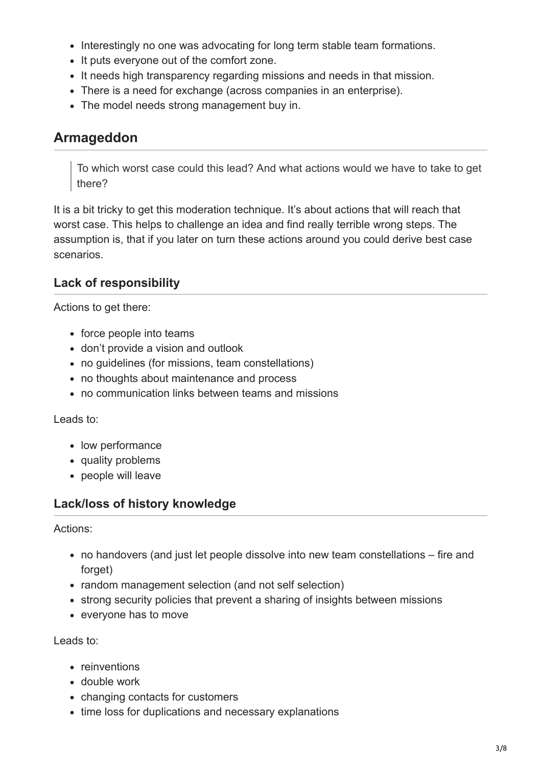- Interestingly no one was advocating for long term stable team formations.
- It puts everyone out of the comfort zone.
- It needs high transparency regarding missions and needs in that mission.
- There is a need for exchange (across companies in an enterprise).
- The model needs strong management buy in.

### **Armageddon**

To which worst case could this lead? And what actions would we have to take to get there?

It is a bit tricky to get this moderation technique. It's about actions that will reach that worst case. This helps to challenge an idea and find really terrible wrong steps. The assumption is, that if you later on turn these actions around you could derive best case scenarios.

### **Lack of responsibility**

Actions to get there:

- force people into teams
- don't provide a vision and outlook
- no guidelines (for missions, team constellations)
- no thoughts about maintenance and process
- no communication links between teams and missions

#### Leads to:

- low performance
- quality problems
- people will leave

#### **Lack/loss of history knowledge**

Actions:

- no handovers (and just let people dissolve into new team constellations fire and forget)
- random management selection (and not self selection)
- strong security policies that prevent a sharing of insights between missions
- everyone has to move

Leads to:

- reinventions
- double work
- changing contacts for customers
- time loss for duplications and necessary explanations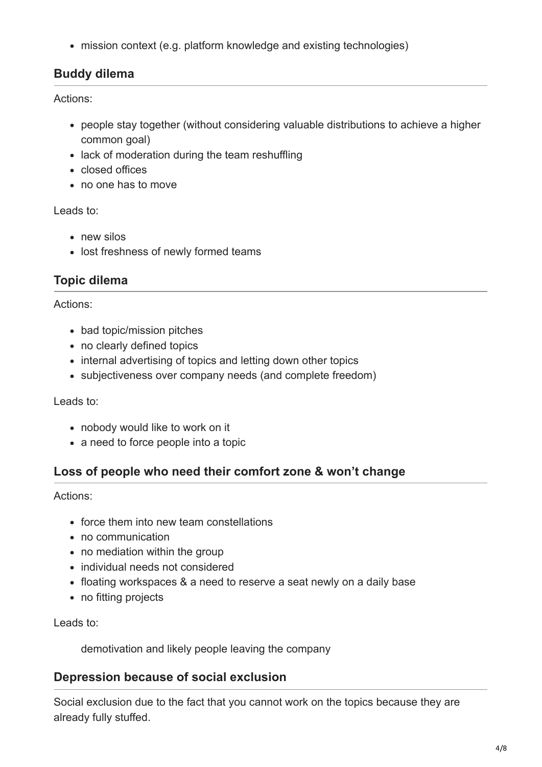mission context (e.g. platform knowledge and existing technologies)

### **Buddy dilema**

Actions:

- people stay together (without considering valuable distributions to achieve a higher common goal)
- lack of moderation during the team reshuffling
- closed offices
- no one has to move

Leads to:

- new silos
- lost freshness of newly formed teams

### **Topic dilema**

Actions:

- bad topic/mission pitches
- no clearly defined topics
- internal advertising of topics and letting down other topics
- subjectiveness over company needs (and complete freedom)

Leads to:

- nobody would like to work on it
- a need to force people into a topic

### **Loss of people who need their comfort zone & won't change**

Actions:

- force them into new team constellations
- no communication
- no mediation within the group
- individual needs not considered
- floating workspaces & a need to reserve a seat newly on a daily base
- no fitting projects

Leads to:

demotivation and likely people leaving the company

### **Depression because of social exclusion**

Social exclusion due to the fact that you cannot work on the topics because they are already fully stuffed.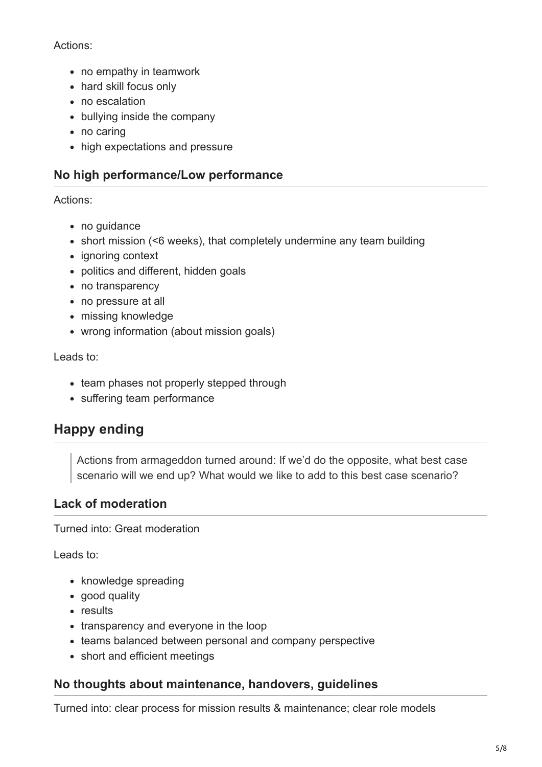#### Actions:

- no empathy in teamwork
- hard skill focus only
- no escalation
- bullying inside the company
- no caring
- high expectations and pressure

### **No high performance/Low performance**

#### Actions:

- no quidance
- short mission (<6 weeks), that completely undermine any team building
- ignoring context
- politics and different, hidden goals
- no transparency
- no pressure at all
- missing knowledge
- wrong information (about mission goals)

#### Leads to:

- team phases not properly stepped through
- suffering team performance

# **Happy ending**

Actions from armageddon turned around: If we'd do the opposite, what best case scenario will we end up? What would we like to add to this best case scenario?

#### **Lack of moderation**

Turned into: Great moderation

Leads to:

- knowledge spreading
- good quality
- results
- transparency and everyone in the loop
- teams balanced between personal and company perspective
- short and efficient meetings

#### **No thoughts about maintenance, handovers, guidelines**

Turned into: clear process for mission results & maintenance; clear role models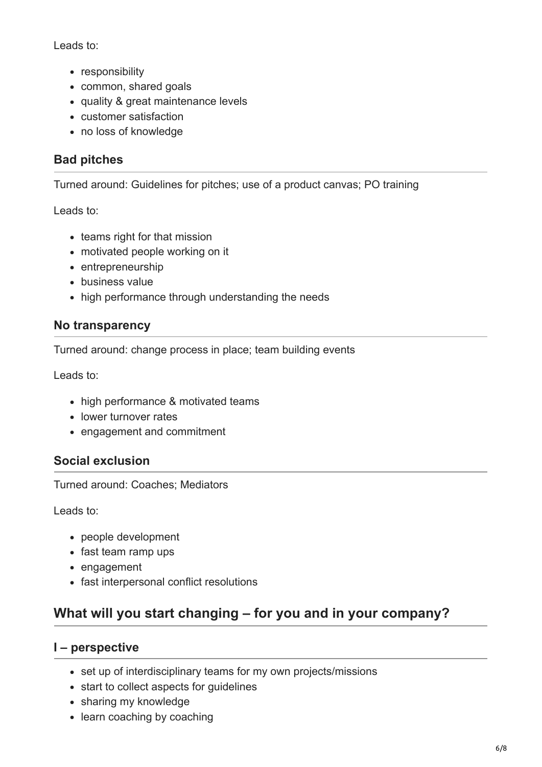Leads to:

- responsibility
- common, shared goals
- quality & great maintenance levels
- customer satisfaction
- no loss of knowledge

### **Bad pitches**

Turned around: Guidelines for pitches; use of a product canvas; PO training

Leads to:

- teams right for that mission
- motivated people working on it
- entrepreneurship
- business value
- high performance through understanding the needs

### **No transparency**

Turned around: change process in place; team building events

Leads to:

- high performance & motivated teams
- lower turnover rates
- engagement and commitment

### **Social exclusion**

Turned around: Coaches; Mediators

Leads to:

- people development
- fast team ramp ups
- engagement
- fast interpersonal conflict resolutions

# **What will you start changing – for you and in your company?**

#### **I – perspective**

- set up of interdisciplinary teams for my own projects/missions
- start to collect aspects for guidelines
- sharing my knowledge
- learn coaching by coaching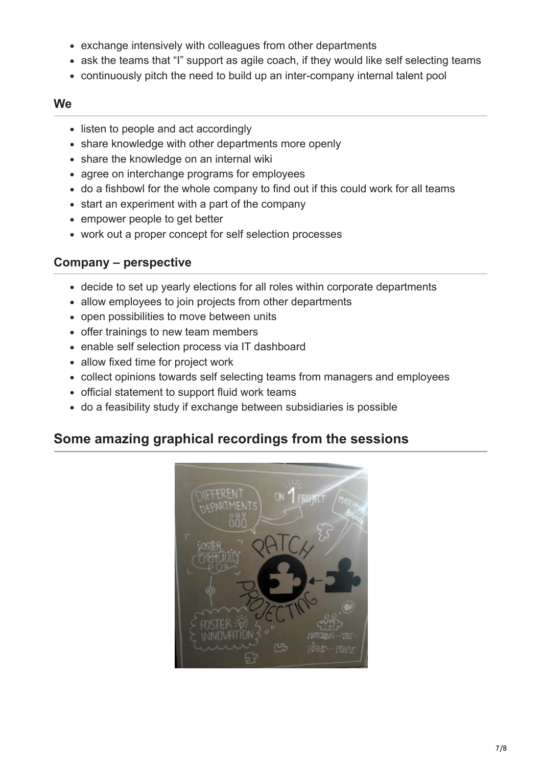- exchange intensively with colleagues from other departments
- ask the teams that "I" support as agile coach, if they would like self selecting teams
- continuously pitch the need to build up an inter-company internal talent pool

#### **We**

- listen to people and act accordingly
- share knowledge with other departments more openly
- share the knowledge on an internal wiki
- agree on interchange programs for employees
- do a fishbowl for the whole company to find out if this could work for all teams
- start an experiment with a part of the company
- empower people to get better
- work out a proper concept for self selection processes

### **Company – perspective**

- decide to set up yearly elections for all roles within corporate departments
- allow employees to join projects from other departments
- open possibilities to move between units
- offer trainings to new team members
- enable self selection process via IT dashboard
- allow fixed time for project work
- collect opinions towards self selecting teams from managers and employees
- official statement to support fluid work teams
- do a feasibility study if exchange between subsidiaries is possible

# **Some amazing graphical recordings from the sessions**